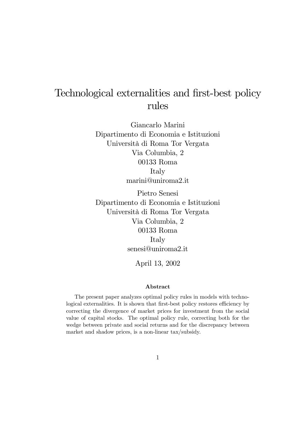# Technological externalities and first-best policy rules

Giancarlo Marini Dipartimento di Economia e Istituzioni Università di Roma Tor Vergata Via Columbia, 2 00133 Roma Italy marini@uniroma2.it

Pietro Senesi Dipartimento di Economia e Istituzioni Università di Roma Tor Vergata Via Columbia, 2 00133 Roma Italy senesi@uniroma2.it

April 13, 2002

#### Abstract

The present paper analyzes optimal policy rules in models with technological externalities. It is shown that first-best policy restores efficiency by correcting the divergence of market prices for investment from the social value of capital stocks. The optimal policy rule, correcting both for the wedge between private and social returns and for the discrepancy between market and shadow prices, is a non-linear tax/subsidy.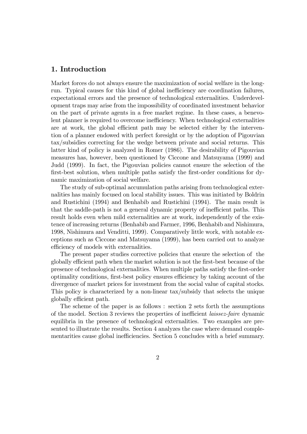#### 1. Introduction

Market forces do not always ensure the maximization of social welfare in the longrun. Typical causes for this kind of global inefficiency are coordination failures, expectational errors and the presence of technological externalities. Underdevelopment traps may arise from the impossibility of coordinated investment behavior on the part of private agents in a free market regime. In these cases, a benevolent planner is required to overcome inefficiency. When technological externalities are at work, the global efficient path may be selected either by the intervention of a planner endowed with perfect foresight or by the adoption of Pigouvian tax/subsidies correcting for the wedge between private and social returns. This latter kind of policy is analyzed in Romer (1986). The desirability of Pigouvian measures has, however, been questioned by Ciccone and Matsuyama (1999) and Judd (1999). In fact, the Pigouvian policies cannot ensure the selection of the first-best solution, when multiple paths satisfy the first-order conditions for dynamic maximization of social welfare.

The study of sub-optimal accumulation paths arising from technological externalities has mainly focused on local stability issues. This was initiated by Boldrin and Rustichini (1994) and Benhabib and Rustichini (1994). The main result is that the saddle-path is not a general dynamic property of inefficient paths. This result holds even when mild externalities are at work, independently of the existence of increasing returns (Benhabib and Farmer, 1996, Benhabib and Nishimura, 1998, Nishimura and Venditti, 1999). Comparatively little work, with notable exceptions such as Ciccone and Matsuyama (1999), has been carried out to analyze efficiency of models with externalities.

The present paper studies corrective policies that ensure the selection of the globally efficient path when the market solution is not the first-best because of the presence of technological externalities. When multiple paths satisfy the first-order optimality conditions, first-best policy ensures efficiency by taking account of the divergence of market prices for investment from the social value of capital stocks. This policy is characterized by a non-linear tax/subsidy that selects the unique globally efficient path.

The scheme of the paper is as follows : section 2 sets forth the assumptions of the model. Section 3 reviews the properties of inefficient laissez-faire dynamic equilibria in the presence of technological externalities. Two examples are presented to illustrate the results. Section 4 analyzes the case where demand complementarities cause global inefficiencies. Section 5 concludes with a brief summary.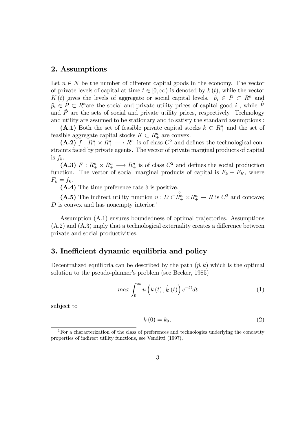#### 2. Assumptions

Let  $n \in N$  be the number of different capital goods in the economy. The vector of private levels of capital at time  $t \in [0,\infty)$  is denoted by  $k(t)$ , while the vector K (t) gives the levels of aggregate or social capital levels.  $\hat{p}_i \in \hat{P} \subset R^n$  and  $\tilde{p}_i \in \tilde{P} \subset R^n$  are the social and private utility prices of capital good i, while  $\tilde{P}$ and  $\tilde{P}$  are the sets of social and private utility prices, respectively. Technology and utility are assumed to be stationary and to satisfy the standard assumptions :

(A.1) Both the set of feasible private capital stocks  $k \subset R^n_+$  and the set of feasible aggregate capital stocks  $K \subset R^n_+$  are convex.

 $(A.2)$   $f: R_{+}^{n} \times R_{+}^{n} \longrightarrow R_{+}^{n}$  is of class  $C_{-}^{2}$  and defines the technological constraints faced by private agents. The vector of private marginal products of capital is  $f_k$ .

(A.3)  $F: R^n_+ \times R^n_+ \longrightarrow R^n_+$  is of class  $C^2$  and defines the social production function. The vector of social marginal products of capital is  $F_k + F_K$ , where  $F_k = f_k.$ 

(A.4) The time preference rate  $\delta$  is positive.

(A.5) The indirect utility function  $u : D \subset \mathbb{R}^n_+ \times \mathbb{R}^n_+ \to R$  is  $C^2$  and concave;  $D$  is convex and has nonempty interior.<sup>1</sup>

Assumption (A.1) ensures boundedness of optimal trajectories. Assumptions (A.2) and (A.3) imply that a technological externality creates a difference between private and social productivities.

#### 3. Inefficient dynamic equilibria and policy

Decentralized equilibria can be described by the path  $(\tilde{p}, k)$  which is the optimal solution to the pseudo-planner's problem (see Becker, 1985)

$$
\max \int_{0}^{\infty} u\left(k\left(t\right), \dot{k}\left(t\right)\right) e^{-\delta t} dt \tag{1}
$$

subject to

$$
k(0) = k_0,\tag{2}
$$

<sup>&</sup>lt;sup>1</sup>For a characterization of the class of preferences and technologies underlying the concavity properties of indirect utility functions, see Venditti (1997).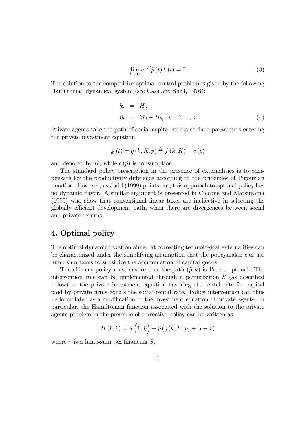$$
\lim_{t \to \infty} e^{-\delta t} \tilde{p}(t) k(t) = 0 \tag{3}
$$

The solution to the competitive optimal control problem is given by the following Hamiltonian dynamical system (see Cass and Shell, 1976):

$$
\dot{k}_i = H_{\tilde{p}_i}
$$
\n
$$
\dot{\tilde{p}}_i = \delta \tilde{p}_i - H_{k_i}, \quad i = 1, \dots, n
$$
\n(4)

Private agents take the path of social capital stocks as fixed parameters entering the private investment equation

$$
\dot{k}(t) = g(k, K, \tilde{p}) \triangleq f(k, K) - c(\tilde{p})
$$

and denoted by K, while  $c(\tilde{p})$  is consumption.

The standard policy prescription in the presence of externalities is to compensate for the productivity difference according to the principles of Pigouvian taxation. However, as Judd (1999) points out, this approach to optimal policy has no dynamic flavor. A similar argument is presented in Ciccone and Matsuyama (1999) who show that conventional linear taxes are ineffective in selecting the globally efficient development path, when there are divergences between social and private returns.

#### 4. Optimal policy

The optimal dynamic taxation aimed at correcting technological externalities can be characterized under the simplifying assumption that the policymaker can use lump sum taxes to subsidize the accumulation of capital goods.

The efficient policy must ensure that the path  $(\tilde{p}, k)$  is Pareto-optimal. The intervention rule can be implemented through a perturbation  $S$  (as described below) to the private investment equation ensuring the rental rate for capital paid by private firms equals the social rental rate. Policy intervention can thus be formulated as a modification to the investment equation of private agents. In particular, the Hamiltonian function associated with the solution to the private agents problem in the presence of corrective policy can be written as

$$
H(\tilde{p},k) \triangleq u(k,\dot{k}) + \tilde{p}(g(k,K,\tilde{p}) + S - \tau)
$$

where  $\tau$  is a lump-sum tax financing S.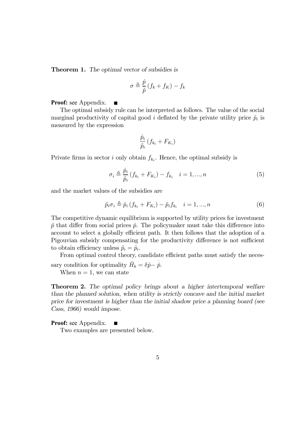**Theorem 1.** The optimal vector of subsidies is

$$
\sigma \triangleq \frac{\hat{p}}{\tilde{p}}(f_k + f_K) - f_k
$$

**Proof:** see Appendix. П

The optimal subsidy rule can be interpreted as follows. The value of the social marginal productivity of capital good i deflated by the private utility price  $\tilde{p}_i$  is measured by the expression

$$
\frac{\hat{p}_i}{\tilde{p}_i}\left(f_{k_i} + F_{K_i}\right)
$$

Private firms in sector i only obtain  $f_{k_i}$ . Hence, the optimal subsidy is

$$
\sigma_i \triangleq \frac{\hat{p}_i}{\tilde{p}_i} \left( f_{k_i} + F_{K_i} \right) - f_{k_i} \quad i = 1, ..., n \tag{5}
$$

and the market values of the subsidies are

$$
\tilde{p}_i \sigma_i \triangleq \hat{p}_i \left( f_{k_i} + F_{K_i} \right) - \tilde{p}_i f_{k_i} \quad i = 1, ..., n \tag{6}
$$

The competitive dynamic equilibrium is supported by utility prices for investment  $\tilde{p}$  that differ from social prices  $\hat{p}$ . The policymaker must take this difference into account to select a globally efficient path. It then follows that the adoption of a Pigouvian subsidy compensating for the productivity difference is not sufficient to obtain efficiency unless  $\tilde{p}_i = \hat{p}_i$ .

From optimal control theory, candidate efficient paths must satisfy the necessary condition for optimality  $\hat{H}_k = \delta \hat{p} - \hat{p}$ .

When  $n = 1$ , we can state

Theorem 2. The optimal policy brings about a higher intertemporal welfare than the planned solution, when utility is strictly concave and the initial market price for investment is higher than the initial shadow price a planning board (see Cass, 1966) would impose.

#### **Proof:** see Appendix.  $\blacksquare$

Two examples are presented below.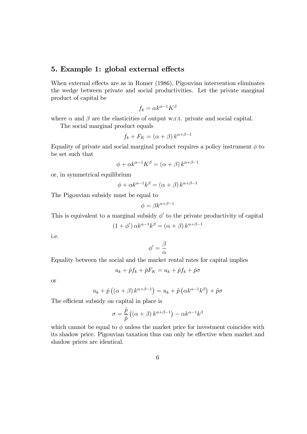#### 5. Example 1: global external effects

When external effects are as in Romer (1986), Pigouvian intervention eliminates the wedge between private and social productivities. Let the private marginal product of capital be

$$
f_k = \alpha k^{\alpha - 1} K^{\beta}
$$

where  $\alpha$  and  $\beta$  are the elasticities of output w.r.t. private and social capital.

The social marginal product equals

$$
f_k + F_K = (\alpha + \beta) k^{\alpha + \beta - 1}
$$

Equality of private and social marginal product requires a policy instrument  $\phi$  to be set such that

$$
\phi + \alpha k^{\alpha - 1} K^{\beta} = (\alpha + \beta) k^{\alpha + \beta - 1}
$$

or, in symmetrical equilibrium

$$
\phi + \alpha k^{\alpha - 1} k^{\beta} = (\alpha + \beta) k^{\alpha + \beta - 1}
$$

The Pigouvian subsidy must be equal to

$$
\phi=\beta k^{\alpha+\beta-1}
$$

This is equivalent to a marginal subsidy  $\phi'$  to the private productivity of capital

$$
(1+\phi') \alpha k^{\alpha-1} k^{\beta} = (\alpha+\beta) k^{\alpha+\beta-1}
$$

i.e.

$$
\phi'=\frac{\beta}{\alpha}
$$

Equality between the social and the market rental rates for capital implies

$$
u_k + \hat{p}f_k + \hat{p}F_K = u_k + \tilde{p}f_k + \tilde{p}\sigma
$$

or

$$
u_k + \hat{p}\left(\left(\alpha + \beta\right)k^{\alpha + \beta - 1}\right) = u_k + \tilde{p}\left(\alpha k^{\alpha - 1}k^{\beta}\right) + \tilde{p}\sigma
$$

The efficient subsidy on capital in place is

$$
\sigma = \frac{\hat{p}}{\tilde{p}} \left( (\alpha + \beta) \, k^{\alpha + \beta - 1} \right) - \alpha k^{\alpha - 1} k^{\beta}
$$

which cannot be equal to  $\phi$  unless the market price for investment coincides with its shadow price. Pigouvian taxation thus can only be effective when market and shadow prices are identical.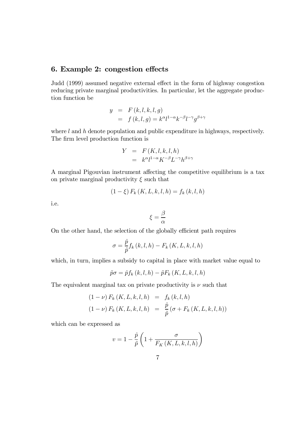### 6. Example 2: congestion effects

Judd (1999) assumed negative external effect in the form of highway congestion reducing private marginal productivities. In particular, let the aggregate production function be

$$
y = F(k, l, k, l, g)
$$
  
=  $f(k, l, g) = k^{\alpha}l^{1-\alpha}k^{-\beta}l^{-\gamma}g^{\beta+\gamma}$ 

where  $l$  and  $h$  denote population and public expenditure in highways, respectively. The firm level production function is

$$
Y = F(K, l, k, l, h)
$$
  
=  $k^{\alpha}l^{1-\alpha}K^{-\beta}L^{-\gamma}h^{\beta+\gamma}$ 

A marginal Pigouvian instrument affecting the competitive equilibrium is a tax on private marginal productivity  $\xi$  such that

$$
(1 - \xi) F_k (K, L, k, l, h) = f_k (k, l, h)
$$

i.e.

$$
\xi = \frac{\beta}{\alpha}
$$

On the other hand, the selection of the globally efficient path requires

$$
\sigma = \frac{\hat{p}}{\tilde{p}} f_k(k, l, h) - F_k(K, L, k, l, h)
$$

which, in turn, implies a subsidy to capital in place with market value equal to

$$
\tilde{p}\sigma = \hat{p}f_k(k,l,h) - \tilde{p}F_k(K,L,k,l,h)
$$

The equivalent marginal tax on private productivity is  $\nu$  such that

$$
(1 - \nu) F_k(K, L, k, l, h) = f_k(k, l, h)
$$

$$
(1 - \nu) F_k(K, L, k, l, h) = \frac{\hat{p}}{\tilde{p}} (\sigma + F_k(K, L, k, l, h))
$$

which can be expressed as

$$
v = 1 - \frac{\hat{p}}{\tilde{p}} \left( 1 + \frac{\sigma}{F_K(K, L, k, l, h)} \right)
$$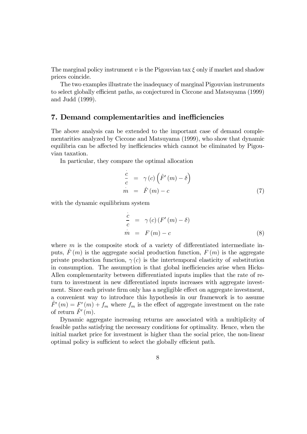The marginal policy instrument v is the Pigouvian tax  $\xi$  only if market and shadow prices coincide.

The two examples illustrate the inadequacy of marginal Pigouvian instruments to select globally efficient paths, as conjectured in Ciccone and Matsuyama (1999) and Judd (1999).

#### 7. Demand complementarities and inefficiencies

The above analysis can be extended to the important case of demand complementarities analyzed by Ciccone and Matsuyama (1999), who show that dynamic equilibria can be affected by inefficiencies which cannot be eliminated by Pigouvian taxation.

In particular, they compare the optimal allocation

$$
\frac{\dot{c}}{c} = \gamma(c) \left( \hat{F}'(m) - \delta \right)
$$
\n
$$
\dot{m} = \hat{F}(m) - c \tag{7}
$$

with the dynamic equilibrium system

$$
\frac{\dot{c}}{c} = \gamma(c) (F'(m) - \delta)
$$
\n
$$
\dot{m} = F(m) - c
$$
\n(8)

where  $m$  is the composite stock of a variety of differentiated intermediate inputs,  $\bar{F}(m)$  is the aggregate social production function,  $F(m)$  is the aggregate private production function,  $\gamma(c)$  is the intertemporal elasticity of substitution in consumption. The assumption is that global inefficiencies arise when Hicks-Allen complementarity between differentiated inputs implies that the rate of return to investment in new differentiated inputs increases with aggregate investment. Since each private firm only has a negligible effect on aggregate investment, a convenient way to introduce this hypothesis in our framework is to assume  $\hat{F}'(m) = F'(m) + f_m$  where  $f_m$  is the effect of aggregate investment on the rate of return  $\hat{F}'(m)$ .

Dynamic aggregate increasing returns are associated with a multiplicity of feasible paths satisfying the necessary conditions for optimality. Hence, when the initial market price for investment is higher than the social price, the non-linear optimal policy is sufficient to select the globally efficient path.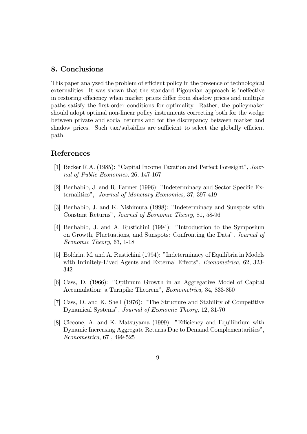#### 8. Conclusions

This paper analyzed the problem of efficient policy in the presence of technological externalities. It was shown that the standard Pigouvian approach is ineffective in restoring efficiency when market prices differ from shadow prices and multiple paths satisfy the first-order conditions for optimality. Rather, the policymaker should adopt optimal non-linear policy instruments correcting both for the wedge between private and social returns and for the discrepancy between market and shadow prices. Such tax/subsidies are sufficient to select the globally efficient path.

#### References

- [1] Becker R.A.  $(1985)$ : "Capital Income Taxation and Perfect Foresight", Journal of Public Economics, 26, 147-167
- [2] Benhabib, J. and R. Farmer (1996): "Indeterminacy and Sector Specific Externalities", Journal of Monetary Economics, 37, 397-419
- [3] Benhabib, J. and K. Nishimura (1998): "Indeterminacy and Sunspots with Constant Returns", *Journal of Economic Theory*, 81, 58-96
- [4] Benhabib, J. and A. Rustichini (1994): "Introduction to the Symposium on Growth, Fluctuations, and Sunspots: Confronting the Data", Journal of Economic Theory, 63, 1-18
- [5] Boldrin, M. and A. Rustichini (1994): "Indeterminacy of Equilibria in Models with Infinitely-Lived Agents and External Effects", Econometrica, 62, 323-342
- [6] Cass, D. (1966): "Optimum Growth in an Aggregative Model of Capital Accumulation: a Turnpike Theorem", Econometrica, 34, 833-850
- [7] Cass, D. and K. Shell (1976): "The Structure and Stability of Competitive Dynamical Systems", Journal of Economic Theory, 12, 31-70
- [8] Ciccone, A. and K. Matsuyama (1999): "Efficiency and Equilibrium with Dynamic Increasing Aggregate Returns Due to Demand Complementaritiesî, Econometrica, 67 , 499-525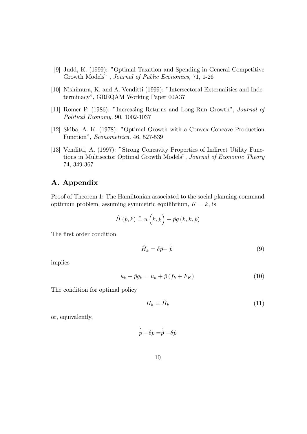- [9] Judd, K. (1999): "Optimal Taxation and Spending in General Competitive Growth Modelsî , Journal of Public Economics, 71, 1-26
- [10] Nishimura, K. and A. Venditti (1999): "Intersectoral Externalities and Indeterminacy", GREQAM Working Paper 00A37
- [11] Romer P. (1986): "Increasing Returns and Long-Run Growth", Journal of Political Economy, 90, 1002-1037
- [12] Skiba, A. K. (1978): "Optimal Growth with a Convex-Concave Production Functionî, Econometrica, 46, 527-539
- [13] Venditti, A. (1997): "Strong Concavity Properties of Indirect Utility Functions in Multisector Optimal Growth Models", Journal of Economic Theory 74, 349-367

#### A. Appendix

Proof of Theorem 1: The Hamiltonian associated to the social planning-command optimum problem, assuming symmetric equilibrium,  $K = k$ , is

$$
\hat{H}(\hat{p},k) \triangleq u(k,\dot{k}) + \hat{p}g(k,k,\hat{p})
$$

The first order condition

$$
\hat{H}_k = \delta \hat{p} - \dot{\hat{p}} \tag{9}
$$

implies

$$
u_k + \hat{p}g_k = u_k + \hat{p}\left(f_k + F_K\right) \tag{10}
$$

The condition for optimal policy

$$
H_k = \hat{H}_k \tag{11}
$$

or, equivalently,

$$
\stackrel{\cdot}{\tilde{p}}-\delta\tilde{p}=\stackrel{\cdot}{\hat{p}}-\delta\hat{p}
$$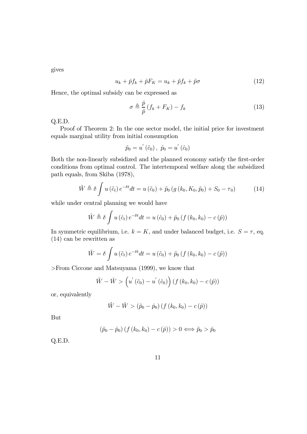gives

$$
u_k + \hat{p}f_k + \hat{p}F_K = u_k + \tilde{p}f_k + \tilde{p}\sigma \tag{12}
$$

Hence, the optimal subsidy can be expressed as

$$
\sigma \triangleq \frac{\hat{p}}{\tilde{p}} \left( f_k + F_K \right) - f_k \tag{13}
$$

Q.E.D.

Proof of Theorem 2: In the one sector model, the initial price for investment equals marginal utility from initial consumption

$$
\widetilde{p}_0=u^{'}\left(\widetilde{c}_0\right),\,\,\widehat{p}_0=u^{'}\left(\widehat{c}_0\right)
$$

Both the non-linearly subsidized and the planned economy satisfy the first-order conditions from optimal control. The intertemporal welfare along the subsidized path equals, from Skiba (1978),

$$
\tilde{W} \triangleq \delta \int u \left(\tilde{c}_t\right) e^{-\delta t} dt = u \left(\tilde{c}_0\right) + \tilde{p}_0 \left(g \left(k_0, K_0, \tilde{p}_0\right) + S_0 - \tau_0\right) \tag{14}
$$

while under central planning we would have

$$
\hat{W} \triangleq \delta \int u(\hat{c}_t) e^{-\delta t} dt = u(\hat{c}_0) + \hat{p}_0 \left( f(k_0, k_0) - c(\hat{p}) \right)
$$

In symmetric equilibrium, i.e.  $k = K$ , and under balanced budget, i.e.  $S = \tau$ , eq. (14) can be rewritten as

$$
\tilde{W} = \delta \int u(\tilde{c}_t) e^{-\delta t} dt = u(\tilde{c}_0) + \tilde{p}_0 \left( f(k_0, k_0) - c(\tilde{p}) \right)
$$

>From Ciccone and Matsuyama (1999), we know that

$$
\tilde{W} - \hat{W} > \left(u'(\tilde{c}_0) - u'(\hat{c}_0)\right) \left(f(k_0, k_0) - c(\hat{p})\right)
$$

or, equivalently

$$
\tilde{W} - \hat{W} > (\tilde{p}_0 - \hat{p}_0) (f (k_0, k_0) - c (\hat{p}))
$$

But

$$
(\tilde{p}_0 - \hat{p}_0) (f (k_0, k_0) - c (\hat{p})) > 0 \Longleftrightarrow \tilde{p}_0 > \hat{p}_0
$$

Q.E.D.